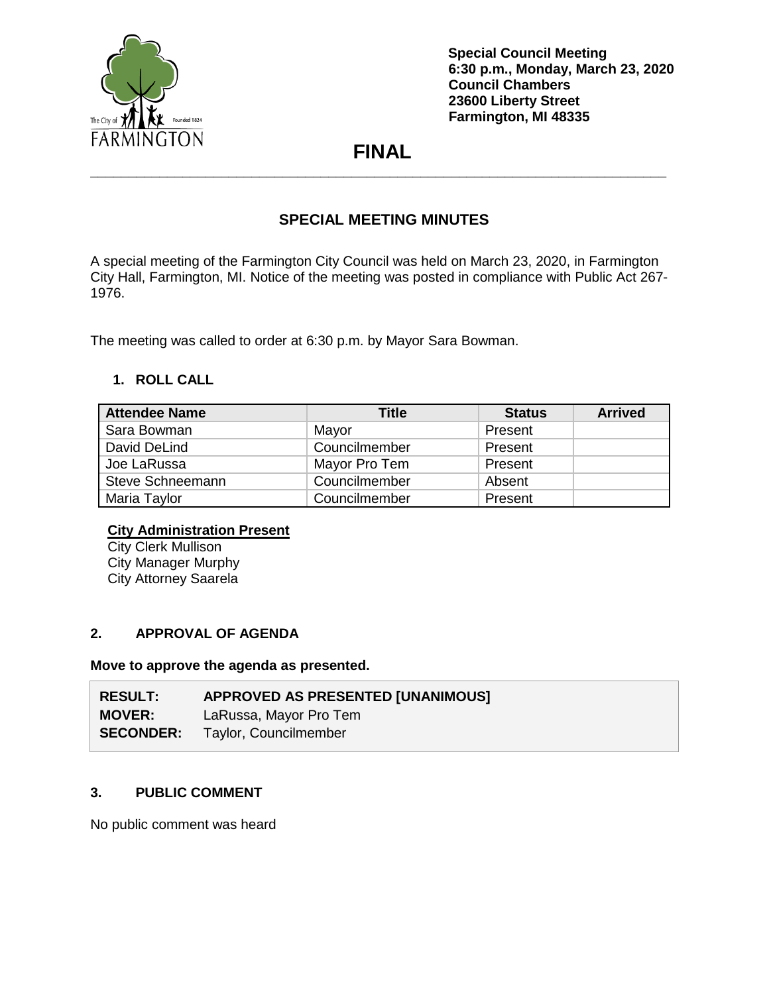

# **FINAL \_\_\_\_\_\_\_\_\_\_\_\_\_\_\_\_\_\_\_\_\_\_\_\_\_\_\_\_\_\_\_\_\_\_\_\_\_\_\_\_\_\_\_\_\_\_\_\_\_\_\_\_\_\_\_\_\_\_\_\_\_\_\_\_\_\_\_\_\_\_\_\_\_\_\_**

## **SPECIAL MEETING MINUTES**

A special meeting of the Farmington City Council was held on March 23, 2020, in Farmington City Hall, Farmington, MI. Notice of the meeting was posted in compliance with Public Act 267- 1976.

The meeting was called to order at 6:30 p.m. by Mayor Sara Bowman.

### **1. ROLL CALL**

| <b>Attendee Name</b> | Title         | <b>Status</b> | <b>Arrived</b> |
|----------------------|---------------|---------------|----------------|
| Sara Bowman          | Mayor         | Present       |                |
| David DeLind         | Councilmember | Present       |                |
| Joe LaRussa          | Mayor Pro Tem | Present       |                |
| Steve Schneemann     | Councilmember | Absent        |                |
| Maria Taylor         | Councilmember | Present       |                |

### **City Administration Present**

City Clerk Mullison City Manager Murphy City Attorney Saarela

### **2. APPROVAL OF AGENDA**

**Move to approve the agenda as presented.**

| <b>RESULT:</b>   | <b>APPROVED AS PRESENTED [UNANIMOUS]</b> |
|------------------|------------------------------------------|
| <b>MOVER:</b>    | LaRussa, Mayor Pro Tem                   |
| <b>SECONDER:</b> | Taylor, Councilmember                    |

### **3. PUBLIC COMMENT**

No public comment was heard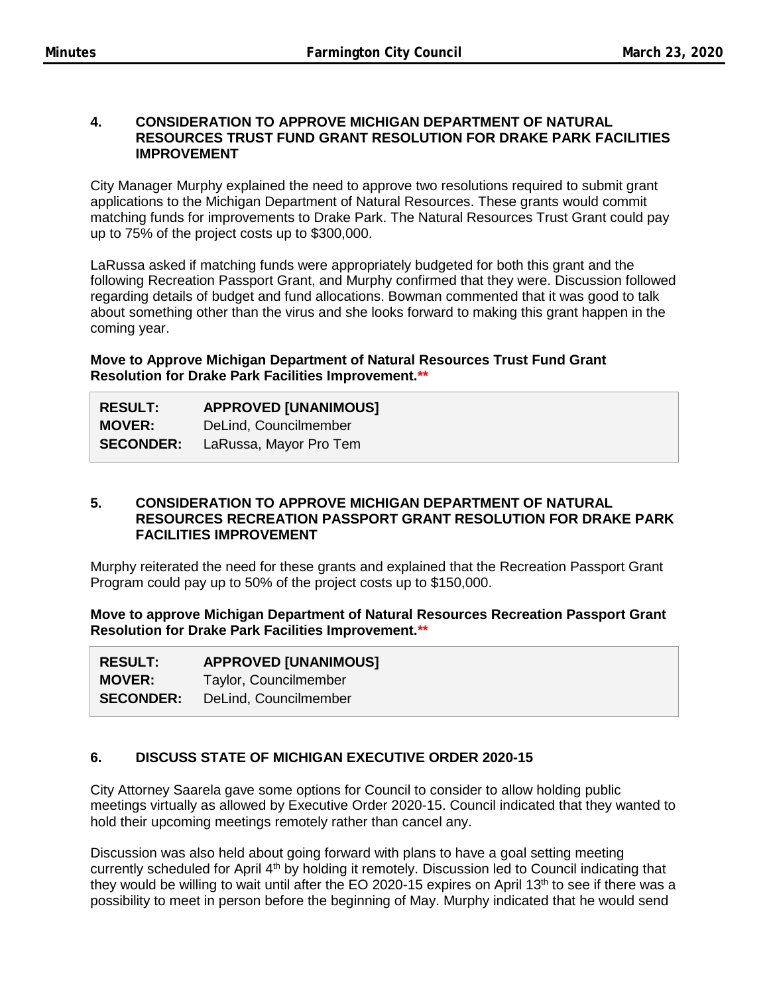#### **4. CONSIDERATION TO APPROVE MICHIGAN DEPARTMENT OF NATURAL RESOURCES TRUST FUND GRANT RESOLUTION FOR DRAKE PARK FACILITIES IMPROVEMENT**

City Manager Murphy explained the need to approve two resolutions required to submit grant applications to the Michigan Department of Natural Resources. These grants would commit matching funds for improvements to Drake Park. The Natural Resources Trust Grant could pay up to 75% of the project costs up to \$300,000.

LaRussa asked if matching funds were appropriately budgeted for both this grant and the following Recreation Passport Grant, and Murphy confirmed that they were. Discussion followed regarding details of budget and fund allocations. Bowman commented that it was good to talk about something other than the virus and she looks forward to making this grant happen in the coming year.

**Move to Approve Michigan Department of Natural Resources Trust Fund Grant Resolution for Drake Park Facilities Improvement.\*\***

| <b>RESULT:</b>   | <b>APPROVED [UNANIMOUS]</b> |
|------------------|-----------------------------|
| <b>MOVER:</b>    | DeLind, Councilmember       |
| <b>SECONDER:</b> | LaRussa, Mayor Pro Tem      |

#### **5. CONSIDERATION TO APPROVE MICHIGAN DEPARTMENT OF NATURAL RESOURCES RECREATION PASSPORT GRANT RESOLUTION FOR DRAKE PARK FACILITIES IMPROVEMENT**

Murphy reiterated the need for these grants and explained that the Recreation Passport Grant Program could pay up to 50% of the project costs up to \$150,000.

**Move to approve Michigan Department of Natural Resources Recreation Passport Grant Resolution for Drake Park Facilities Improvement.\*\***

| <b>RESULT:</b>   | <b>APPROVED [UNANIMOUS]</b> |
|------------------|-----------------------------|
| <b>MOVER:</b>    | Taylor, Councilmember       |
| <b>SECONDER:</b> | DeLind, Councilmember       |

### **6. DISCUSS STATE OF MICHIGAN EXECUTIVE ORDER 2020-15**

City Attorney Saarela gave some options for Council to consider to allow holding public meetings virtually as allowed by Executive Order 2020-15. Council indicated that they wanted to hold their upcoming meetings remotely rather than cancel any.

Discussion was also held about going forward with plans to have a goal setting meeting currently scheduled for April 4<sup>th</sup> by holding it remotely. Discussion led to Council indicating that they would be willing to wait until after the EO 2020-15 expires on April 13<sup>th</sup> to see if there was a possibility to meet in person before the beginning of May. Murphy indicated that he would send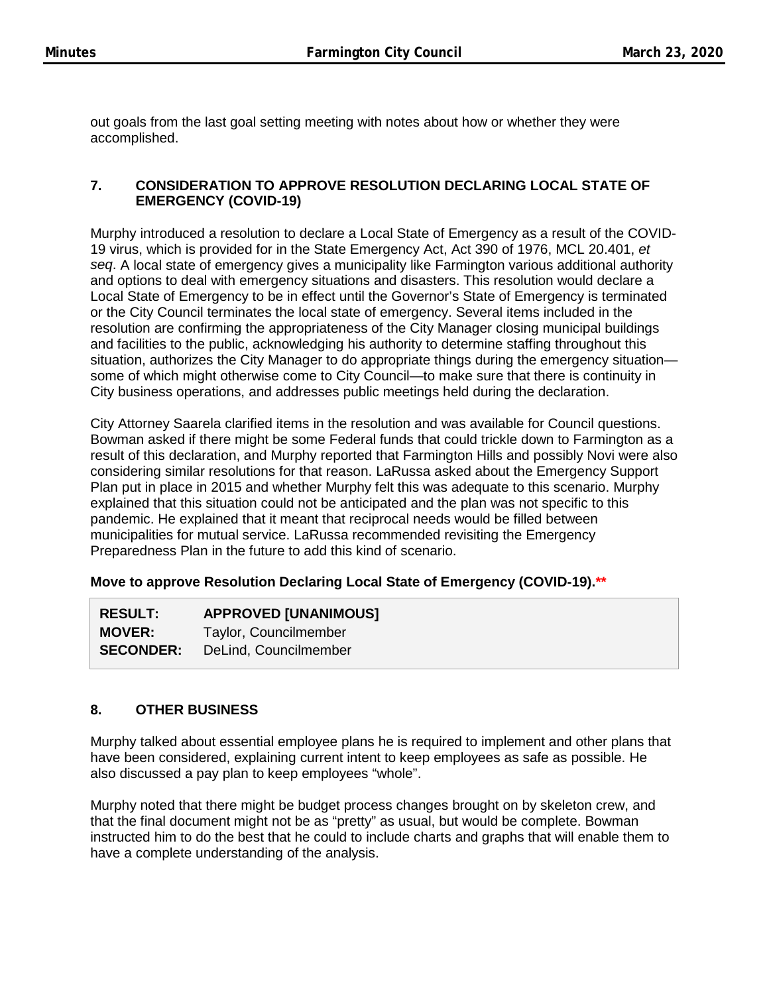out goals from the last goal setting meeting with notes about how or whether they were accomplished.

### **7. CONSIDERATION TO APPROVE RESOLUTION DECLARING LOCAL STATE OF EMERGENCY (COVID-19)**

Murphy introduced a resolution to declare a Local State of Emergency as a result of the COVID-19 virus, which is provided for in the State Emergency Act, Act 390 of 1976, MCL 20.401, *et seq*. A local state of emergency gives a municipality like Farmington various additional authority and options to deal with emergency situations and disasters. This resolution would declare a Local State of Emergency to be in effect until the Governor's State of Emergency is terminated or the City Council terminates the local state of emergency. Several items included in the resolution are confirming the appropriateness of the City Manager closing municipal buildings and facilities to the public, acknowledging his authority to determine staffing throughout this situation, authorizes the City Manager to do appropriate things during the emergency situation some of which might otherwise come to City Council—to make sure that there is continuity in City business operations, and addresses public meetings held during the declaration.

City Attorney Saarela clarified items in the resolution and was available for Council questions. Bowman asked if there might be some Federal funds that could trickle down to Farmington as a result of this declaration, and Murphy reported that Farmington Hills and possibly Novi were also considering similar resolutions for that reason. LaRussa asked about the Emergency Support Plan put in place in 2015 and whether Murphy felt this was adequate to this scenario. Murphy explained that this situation could not be anticipated and the plan was not specific to this pandemic. He explained that it meant that reciprocal needs would be filled between municipalities for mutual service. LaRussa recommended revisiting the Emergency Preparedness Plan in the future to add this kind of scenario.

### **Move to approve Resolution Declaring Local State of Emergency (COVID-19).\*\***

| <b>RESULT:</b>   | <b>APPROVED [UNANIMOUS]</b> |
|------------------|-----------------------------|
| <b>MOVER:</b>    | Taylor, Councilmember       |
| <b>SECONDER:</b> | DeLind, Councilmember       |

### **8. OTHER BUSINESS**

Murphy talked about essential employee plans he is required to implement and other plans that have been considered, explaining current intent to keep employees as safe as possible. He also discussed a pay plan to keep employees "whole".

Murphy noted that there might be budget process changes brought on by skeleton crew, and that the final document might not be as "pretty" as usual, but would be complete. Bowman instructed him to do the best that he could to include charts and graphs that will enable them to have a complete understanding of the analysis.